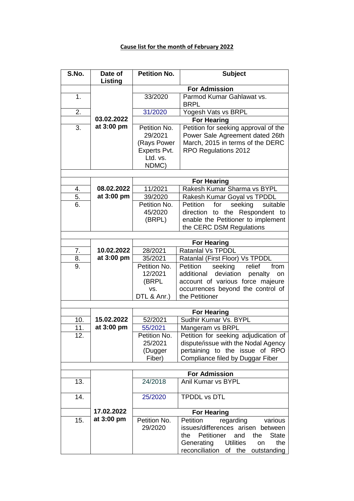## **Cause list for the month of February 2022**

| S.No.            | Date of<br>Listing       | <b>Petition No.</b>     | <b>Subject</b>                                                        |  |
|------------------|--------------------------|-------------------------|-----------------------------------------------------------------------|--|
|                  |                          | <b>For Admission</b>    |                                                                       |  |
| 1.               |                          | 33/2020                 | Parmod Kumar Gahlawat vs.                                             |  |
|                  |                          |                         | <b>BRPL</b>                                                           |  |
| 2.               |                          | 31/2020                 | Yogesh Vats vs BRPL                                                   |  |
|                  | 03.02.2022               |                         | <b>For Hearing</b>                                                    |  |
| 3.               | at 3:00 pm               | Petition No.            | Petition for seeking approval of the                                  |  |
|                  |                          | 29/2021                 | Power Sale Agreement dated 26th                                       |  |
|                  |                          | (Rays Power             | March, 2015 in terms of the DERC                                      |  |
|                  |                          | Experts Pvt.            | RPO Regulations 2012                                                  |  |
|                  |                          | Ltd. vs.                |                                                                       |  |
|                  |                          | NDMC)                   |                                                                       |  |
|                  |                          |                         |                                                                       |  |
| $\overline{4}$ . | 08.02.2022               | 11/2021                 | <b>For Hearing</b><br>Rakesh Kumar Sharma vs BYPL                     |  |
| 5.               | at 3:00 pm               | 39/2020                 |                                                                       |  |
| 6.               |                          | Petition No.            | Rakesh Kumar Goyal vs TPDDL<br>Petition<br>for<br>seeking<br>suitable |  |
|                  |                          | 45/2020                 | direction to the Respondent to                                        |  |
|                  |                          | (BRPL)                  | enable the Petitioner to implement                                    |  |
|                  |                          |                         | the CERC DSM Regulations                                              |  |
|                  |                          |                         |                                                                       |  |
|                  |                          |                         | <b>For Hearing</b>                                                    |  |
| 7.               | 10.02.2022               | 28/2021                 | Ratanlal Vs TPDDL                                                     |  |
| 8.               | at 3:00 pm               | 35/2021                 | Ratanlal (First Floor) Vs TPDDL                                       |  |
| 9.               |                          | Petition No.            | from<br>Petition<br>seeking<br>relief                                 |  |
|                  |                          | 12/2021                 | additional<br>deviation<br>penalty<br>on                              |  |
|                  |                          | (BRPL                   | account of various force majeure                                      |  |
|                  |                          | VS.                     | occurrences beyond the control of                                     |  |
|                  |                          | DTL & Anr.)             | the Petitioner                                                        |  |
|                  |                          |                         |                                                                       |  |
|                  |                          |                         | <b>For Hearing</b>                                                    |  |
| 10.              | 15.02.2022<br>at 3:00 pm | 52/2021                 | Sudhir Kumar Vs. BYPL                                                 |  |
| 11.<br>12.       |                          | 55/2021<br>Petition No. | Mangeram vs BRPL<br>Petition for seeking adjudication of              |  |
|                  |                          | 25/2021                 | dispute/issue with the Nodal Agency                                   |  |
|                  |                          | (Dugger                 | pertaining to the issue of RPO                                        |  |
|                  |                          | Fiber)                  | Compliance filed by Duggar Fiber                                      |  |
|                  |                          |                         |                                                                       |  |
|                  |                          |                         | <b>For Admission</b>                                                  |  |
| 13.              |                          | 24/2018                 | Anil Kumar vs BYPL                                                    |  |
| 14.              |                          | 25/2020                 | <b>TPDDL vs DTL</b>                                                   |  |
|                  |                          |                         |                                                                       |  |
|                  | 17.02.2022               |                         | <b>For Hearing</b>                                                    |  |
| 15.              | at 3:00 pm               | Petition No.            | Petition<br>regarding<br>various                                      |  |
|                  |                          | 29/2020                 | issues/differences arisen between                                     |  |
|                  |                          |                         | Petitioner<br>and<br><b>State</b><br>the<br>the                       |  |
|                  |                          |                         | Generating<br><b>Utilities</b><br>the<br>on                           |  |
|                  |                          |                         | reconciliation<br>of<br>the<br>outstanding                            |  |